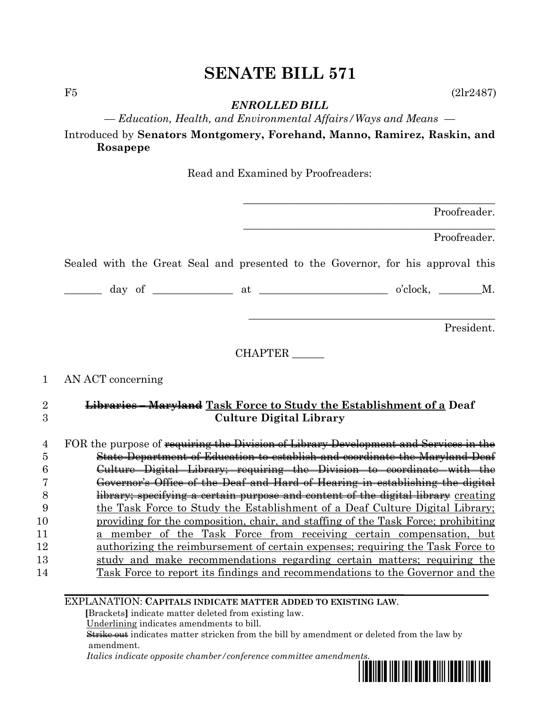## **SENATE BILL 571**

 $F5$  (2lr2487)

*ENROLLED BILL*

*— Education, Health, and Environmental Affairs/Ways and Means —*

Introduced by **Senators Montgomery, Forehand, Manno, Ramirez, Raskin, and Rosapepe**

Read and Examined by Proofreaders:

|                | Proofreader.                                                                          |
|----------------|---------------------------------------------------------------------------------------|
|                | Proofreader.                                                                          |
|                | Sealed with the Great Seal and presented to the Governor, for his approval this       |
|                |                                                                                       |
|                | President.                                                                            |
|                | CHAPTER                                                                               |
| $\mathbf 1$    | AN ACT concerning                                                                     |
| $\overline{2}$ | <b>Libraries – Maryland Task Force to Study the Establishment of a Deaf</b>           |
| 3              | <b>Culture Digital Library</b>                                                        |
| 4              | FOR the purpose of requiring the Division of Library Development and Services in the  |
| 5              | State Department of Education to establish and coordinate the Maryland Deaf           |
| 6              | Culture Digital Library; requiring the Division to coordinate with the                |
| 7              | Governor's Office of the Deaf and Hard of Hearing in establishing the digital         |
| 8              | library; specifying a certain purpose and content of the digital library creating     |
| 9              | the Task Force to Study the Establishment of a Deaf Culture Digital Library;          |
| 10             | providing for the composition, chair, and staffing of the Task Force; prohibiting     |
| 11             | a member of the Task Force from receiving certain compensation, but                   |
| 12             | <u>authorizing the reimbursement of certain expenses; requiring the Task Force to</u> |
| 13             | study and make recommendations regarding certain matters; requiring the               |
| 14             | Task Force to report its findings and recommendations to the Governor and the         |
|                | EXPLANATION: CAPITALS INDICATE MATTER ADDED TO EXISTING LAW.                          |

 **[**Brackets**]** indicate matter deleted from existing law.

Underlining indicates amendments to bill.

 Strike out indicates matter stricken from the bill by amendment or deleted from the law by amendment.

 *Italics indicate opposite chamber/conference committee amendments.*

\*sb0571\*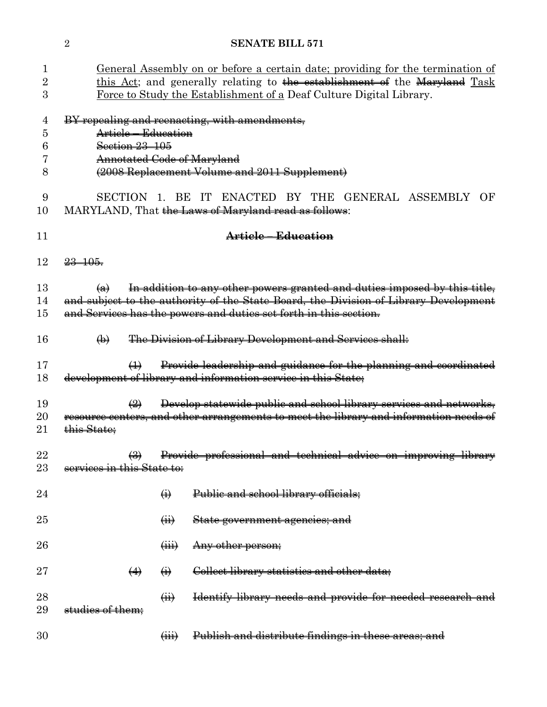| 1<br>$\rm{2}$<br>3    | <u>General Assembly on or before a certain date; providing for the termination of</u><br>this Act; and generally relating to the establishment of the Maryland Task<br>Force to Study the Establishment of a Deaf Culture Digital Library. |                             |                                                                                                                                                                                                                                        |  |  |  |  |
|-----------------------|--------------------------------------------------------------------------------------------------------------------------------------------------------------------------------------------------------------------------------------------|-----------------------------|----------------------------------------------------------------------------------------------------------------------------------------------------------------------------------------------------------------------------------------|--|--|--|--|
| 4<br>5<br>6<br>7<br>8 | BY repealing and reenacting, with amendments,<br>Article – Education<br>Section 23 105<br><b>Annotated Code of Maryland</b><br>(2008 Replacement Volume and 2011 Supplement)                                                               |                             |                                                                                                                                                                                                                                        |  |  |  |  |
| 9<br>10               |                                                                                                                                                                                                                                            |                             | SECTION 1. BE IT ENACTED BY THE GENERAL ASSEMBLY<br>OF<br>MARYLAND, That the Laws of Maryland read as follows:                                                                                                                         |  |  |  |  |
| 11                    | Article - Education                                                                                                                                                                                                                        |                             |                                                                                                                                                                                                                                        |  |  |  |  |
| 12                    | $23 - 105.$                                                                                                                                                                                                                                |                             |                                                                                                                                                                                                                                        |  |  |  |  |
| 13<br>14<br>15        | $\leftrightarrow$                                                                                                                                                                                                                          |                             | In addition to any other powers granted and duties imposed by this title,<br>and subject to the authority of the State Board, the Division of Library Development<br>and Services has the powers and duties set forth in this section. |  |  |  |  |
| 16                    | $\bigoplus$                                                                                                                                                                                                                                |                             | The Division of Library Development and Services shall:                                                                                                                                                                                |  |  |  |  |
| 17<br>18              | $\leftrightarrow$                                                                                                                                                                                                                          |                             | Provide leadership and guidance for the planning and coordinated<br>development of library and information service in this State;                                                                                                      |  |  |  |  |
| 19<br>20<br>21        | $\bigoplus$<br>this State;                                                                                                                                                                                                                 |                             | Develop statewide public and school library services and networks,<br>resource centers, and other arrangements to meet the library and information needs of                                                                            |  |  |  |  |
| 22<br>23              | $\leftrightarrow$<br>services in this State to:                                                                                                                                                                                            |                             | Provide professional and technical advice on improving library                                                                                                                                                                         |  |  |  |  |
| 24                    |                                                                                                                                                                                                                                            | $\ddot{\Theta}$             | Public and school library officials;                                                                                                                                                                                                   |  |  |  |  |
| 25                    |                                                                                                                                                                                                                                            | $\overrightarrow{H}$        | State government agencies; and                                                                                                                                                                                                         |  |  |  |  |
| 26                    |                                                                                                                                                                                                                                            | $\overleftrightarrow{H}$    | Any other person;                                                                                                                                                                                                                      |  |  |  |  |
| $27\,$                | $\leftrightarrow$                                                                                                                                                                                                                          | $\ddot{\Theta}$             | Collect library statistics and other data;                                                                                                                                                                                             |  |  |  |  |
| 28<br>29              | studies of them:                                                                                                                                                                                                                           | $\overline{a}$              | Identify library needs and provide for needed research and                                                                                                                                                                             |  |  |  |  |
| 30                    |                                                                                                                                                                                                                                            | $\overline{(\overline{H})}$ | Publish and distribute findings in these areas; and                                                                                                                                                                                    |  |  |  |  |

**SENATE BILL 571**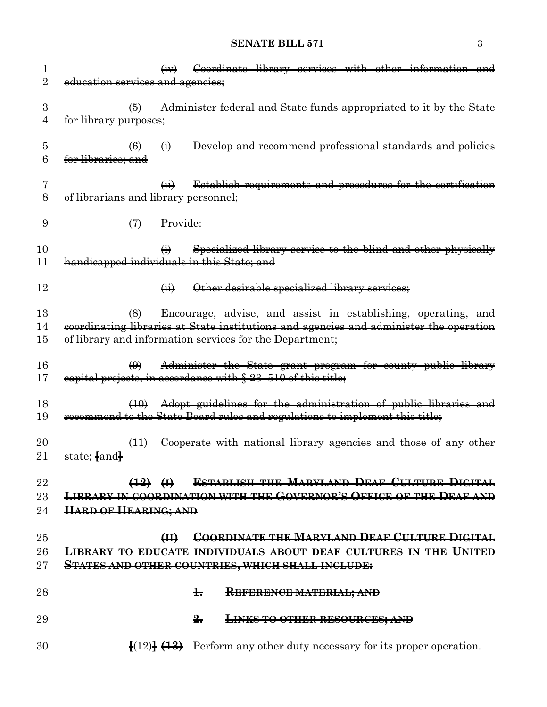## **SENATE BILL 571** 3

| 1               |                                                                                        |                            |                            |               | Coordinate library services with other information and                         |  |  |  |  |
|-----------------|----------------------------------------------------------------------------------------|----------------------------|----------------------------|---------------|--------------------------------------------------------------------------------|--|--|--|--|
| 2               | education services and agencies;                                                       |                            |                            |               |                                                                                |  |  |  |  |
|                 |                                                                                        |                            |                            |               |                                                                                |  |  |  |  |
| 3               |                                                                                        | $\left( 5\right)$          |                            |               | Administer federal and State funds appropriated to it by the State             |  |  |  |  |
| 4               | for library purposes;                                                                  |                            |                            |               |                                                                                |  |  |  |  |
|                 |                                                                                        |                            |                            |               |                                                                                |  |  |  |  |
| 5               |                                                                                        | $\left(6\right)$           | $\ddot{\Theta}$            |               | Develop and recommend professional standards and policies                      |  |  |  |  |
| 6               | <del>for libraries; and</del>                                                          |                            |                            |               |                                                                                |  |  |  |  |
|                 |                                                                                        |                            |                            |               |                                                                                |  |  |  |  |
| 7               |                                                                                        |                            | $\overline{(\mathbf{ii})}$ |               | Establish requirements and procedures for the certification                    |  |  |  |  |
| 8               | of librarians and library personnel;                                                   |                            |                            |               |                                                                                |  |  |  |  |
|                 |                                                                                        |                            |                            |               |                                                                                |  |  |  |  |
| 9               |                                                                                        | $\leftrightarrow$          | Provide:                   |               |                                                                                |  |  |  |  |
|                 |                                                                                        |                            |                            |               |                                                                                |  |  |  |  |
| 10              |                                                                                        |                            | $\bigoplus$                |               | Specialized library service to the blind and other physically                  |  |  |  |  |
| 11              | handicapped individuals in this State; and                                             |                            |                            |               |                                                                                |  |  |  |  |
|                 |                                                                                        |                            |                            |               |                                                                                |  |  |  |  |
| 12              |                                                                                        |                            | $\overline{a}$             |               | Other desirable specialized library services;                                  |  |  |  |  |
|                 |                                                                                        |                            |                            |               |                                                                                |  |  |  |  |
| 13              |                                                                                        | $\left(\frac{8}{2}\right)$ |                            |               | Encourage, advise, and assist in establishing, operating, and                  |  |  |  |  |
| 14              | coordinating libraries at State institutions and agencies and administer the operation |                            |                            |               |                                                                                |  |  |  |  |
| 15              | of library and information services for the Department;                                |                            |                            |               |                                                                                |  |  |  |  |
|                 |                                                                                        |                            |                            |               |                                                                                |  |  |  |  |
| 16              |                                                                                        | $\bigoplus$                |                            |               | Administer the State grant program for county public library                   |  |  |  |  |
| 17              | eapital projects, in accordance with § 23-510 of this title;                           |                            |                            |               |                                                                                |  |  |  |  |
|                 |                                                                                        |                            |                            |               |                                                                                |  |  |  |  |
| 18              |                                                                                        | $\left(10\right)$          |                            |               | Adopt guidelines for the administration of public libraries and                |  |  |  |  |
| 19              | recommend to the State Board rules and regulations to implement this title;            |                            |                            |               |                                                                                |  |  |  |  |
|                 |                                                                                        |                            |                            |               |                                                                                |  |  |  |  |
| $\overline{20}$ |                                                                                        | $\left(\frac{1}{2}\right)$ |                            |               | Cooperate with national library agencies and those of any other                |  |  |  |  |
| 21              | state; [and]                                                                           |                            |                            |               |                                                                                |  |  |  |  |
|                 |                                                                                        |                            |                            |               |                                                                                |  |  |  |  |
| 22              |                                                                                        |                            |                            |               | (12) (i) ESTABLISH THE MARYLAND DEAF CULTURE DIGITAL                           |  |  |  |  |
| $23\,$          | LIBRARY IN COORDINATION WITH THE GOVERNOR'S OFFICE OF THE DEAF AND                     |                            |                            |               |                                                                                |  |  |  |  |
| 24              | <b>HARD OF HEARING; AND</b>                                                            |                            |                            |               |                                                                                |  |  |  |  |
|                 |                                                                                        |                            |                            |               |                                                                                |  |  |  |  |
| $25\,$          |                                                                                        |                            | H                          |               | <b>COORDINATE THE MARYLAND DEAF CULTURE DIGITAL</b>                            |  |  |  |  |
| $26\,$          | <b>LIBRARY TO EDUCATE INDIVIDUALS ABOUT DEAF CULTURES IN THE UNITED</b>                |                            |                            |               |                                                                                |  |  |  |  |
| $27\,$          | <b>STATES AND OTHER COUNTRIES, WHICH SHALL INCLUDE:</b>                                |                            |                            |               |                                                                                |  |  |  |  |
|                 |                                                                                        |                            |                            |               |                                                                                |  |  |  |  |
| 28              |                                                                                        |                            |                            | $\pm$         |                                                                                |  |  |  |  |
|                 |                                                                                        |                            |                            |               | <b>REFERENCE MATERIAL; AND</b>                                                 |  |  |  |  |
|                 |                                                                                        |                            |                            |               |                                                                                |  |  |  |  |
| 29              |                                                                                        |                            |                            | $\frac{9}{2}$ | <b>LINKS TO OTHER RESOURCES; AND</b>                                           |  |  |  |  |
|                 |                                                                                        |                            |                            |               |                                                                                |  |  |  |  |
| 30              |                                                                                        |                            |                            |               | $\{ (12) \}$ $(13)$ Perform any other duty necessary for its proper operation. |  |  |  |  |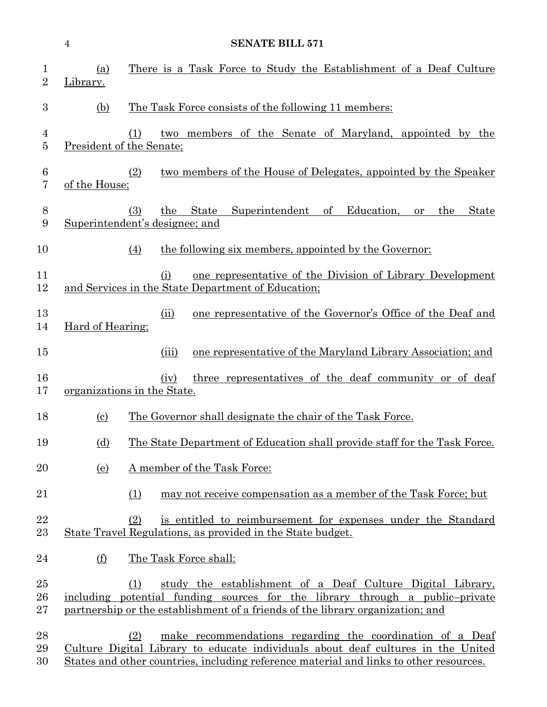|                               | $\overline{4}$             | <b>SENATE BILL 571</b>                                                                                                                                                                                                                         |
|-------------------------------|----------------------------|------------------------------------------------------------------------------------------------------------------------------------------------------------------------------------------------------------------------------------------------|
| $\mathbf 1$<br>$\overline{2}$ | (a)<br>Library.            | There is a Task Force to Study the Establishment of a Deaf Culture                                                                                                                                                                             |
| 3                             | (b)                        | <u>The Task Force consists of the following 11 members:</u>                                                                                                                                                                                    |
| 4<br>$\overline{5}$           |                            | two members of the Senate of Maryland, appointed by the<br>(1)<br>President of the Senate;                                                                                                                                                     |
| $6\phantom{.}6$<br>7          | of the House;              | two members of the House of Delegates, appointed by the Speaker<br>(2)                                                                                                                                                                         |
| 8<br>9                        |                            | State<br>Superintendent of<br>Education,<br>(3)<br>the<br>the<br>State<br>or<br>Superintendent's designee; and                                                                                                                                 |
| 10                            |                            | the following six members, appointed by the Governor:<br>(4)                                                                                                                                                                                   |
| 11<br>12                      |                            | one representative of the Division of Library Development<br>(i)<br>and Services in the State Department of Education;                                                                                                                         |
| 13<br>14                      | Hard of Hearing;           | one representative of the Governor's Office of the Deaf and<br>(ii)                                                                                                                                                                            |
| 15                            |                            | one representative of the Maryland Library Association; and<br>(iii)                                                                                                                                                                           |
| 16<br>17                      |                            | three representatives of the deaf community or of deaf<br>(iv)<br>organizations in the State.                                                                                                                                                  |
| 18                            | $\left( \mathrm{c}\right)$ | The Governor shall designate the chair of the Task Force.                                                                                                                                                                                      |
| 19                            | (d)                        | The State Department of Education shall provide staff for the Task Force.                                                                                                                                                                      |
| 20                            | <u>(e)</u>                 | A member of the Task Force:                                                                                                                                                                                                                    |
| 21                            |                            | (1)<br>may not receive compensation as a member of the Task Force; but                                                                                                                                                                         |
| 22<br>23                      |                            | is entitled to reimbursement for expenses under the Standard<br>(2)<br>State Travel Regulations, as provided in the State budget.                                                                                                              |
| 24                            | (f)                        | The Task Force shall:                                                                                                                                                                                                                          |
| 25<br>26<br>$27\,$            |                            | study the establishment of a Deaf Culture Digital Library,<br>(1)<br>including potential funding sources for the library through a public-private<br>partnership or the establishment of a friends of the library organization; and            |
| 28<br>29<br>30                |                            | (2)<br>make recommendations regarding the coordination of a Deaf<br>Culture Digital Library to educate individuals about deaf cultures in the United<br>States and other countries, including reference material and links to other resources. |